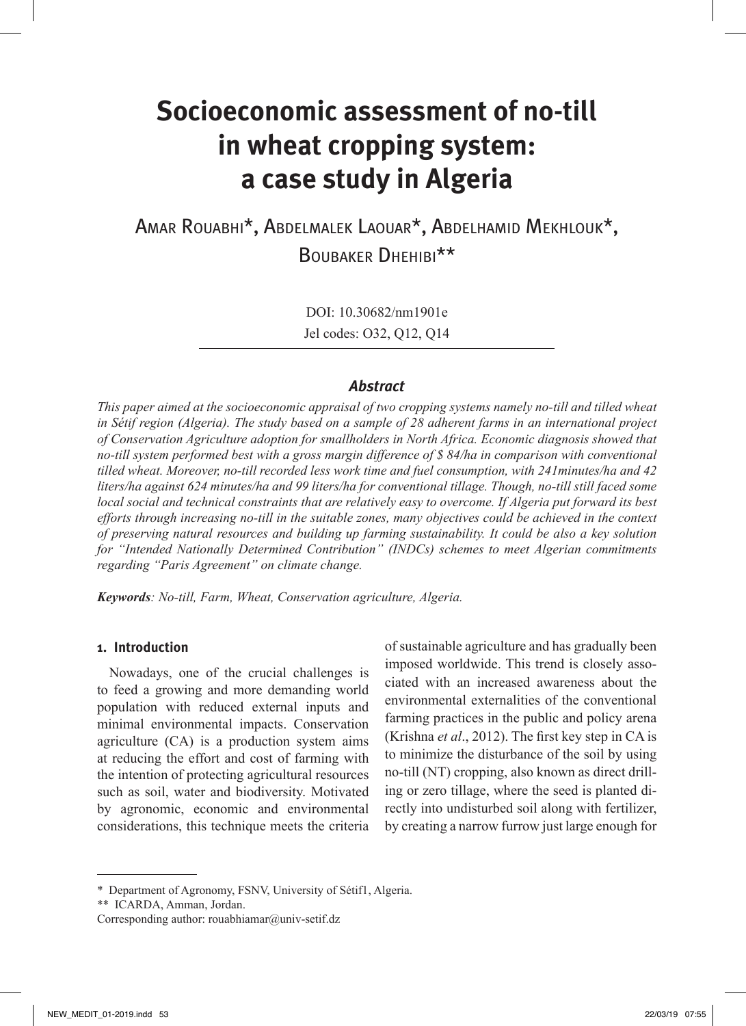# **Socioeconomic assessment of no-till in wheat cropping system: a case study in Algeria**

Amar Rouabhi\*, Abdelmalek Laouar\*, Abdelhamid Mekhlouk\*, Boubaker Dhehibi\*\*

> DOI: 10.30682/nm1901e Jel codes: O32, Q12, Q14

## *Abstract*

*This paper aimed at the socioeconomic appraisal of two cropping systems namely no-till and tilled wheat in Sétif region (Algeria). The study based on a sample of 28 adherent farms in an international project of Conservation Agriculture adoption for smallholders in North Africa. Economic diagnosis showed that no-till system performed best with a gross margin difference of \$ 84/ha in comparison with conventional tilled wheat. Moreover, no-till recorded less work time and fuel consumption, with 241minutes/ha and 42 liters/ha against 624 minutes/ha and 99 liters/ha for conventional tillage. Though, no-till still faced some local social and technical constraints that are relatively easy to overcome. If Algeria put forward its best efforts through increasing no-till in the suitable zones, many objectives could be achieved in the context of preserving natural resources and building up farming sustainability. It could be also a key solution for "Intended Nationally Determined Contribution" (INDCs) schemes to meet Algerian commitments regarding "Paris Agreement" on climate change.* 

*Keywords: No-till, Farm, Wheat, Conservation agriculture, Algeria.*

## **1. Introduction**

Nowadays, one of the crucial challenges is to feed a growing and more demanding world population with reduced external inputs and minimal environmental impacts. Conservation agriculture (CA) is a production system aims at reducing the effort and cost of farming with the intention of protecting agricultural resources such as soil, water and biodiversity. Motivated by agronomic, economic and environmental considerations, this technique meets the criteria

of sustainable agriculture and has gradually been imposed worldwide. This trend is closely associated with an increased awareness about the environmental externalities of the conventional farming practices in the public and policy arena (Krishna *et al*., 2012). The first key step in CA is to minimize the disturbance of the soil by using no-till (NT) cropping, also known as direct drilling or zero tillage, where the seed is planted directly into undisturbed soil along with fertilizer, by creating a narrow furrow just large enough for

<sup>\*</sup> Department of Agronomy, FSNV, University of Sétif1, Algeria.

<sup>\*\*</sup> ICARDA, Amman, Jordan.

Corresponding author: rouabhiamar@univ-setif.dz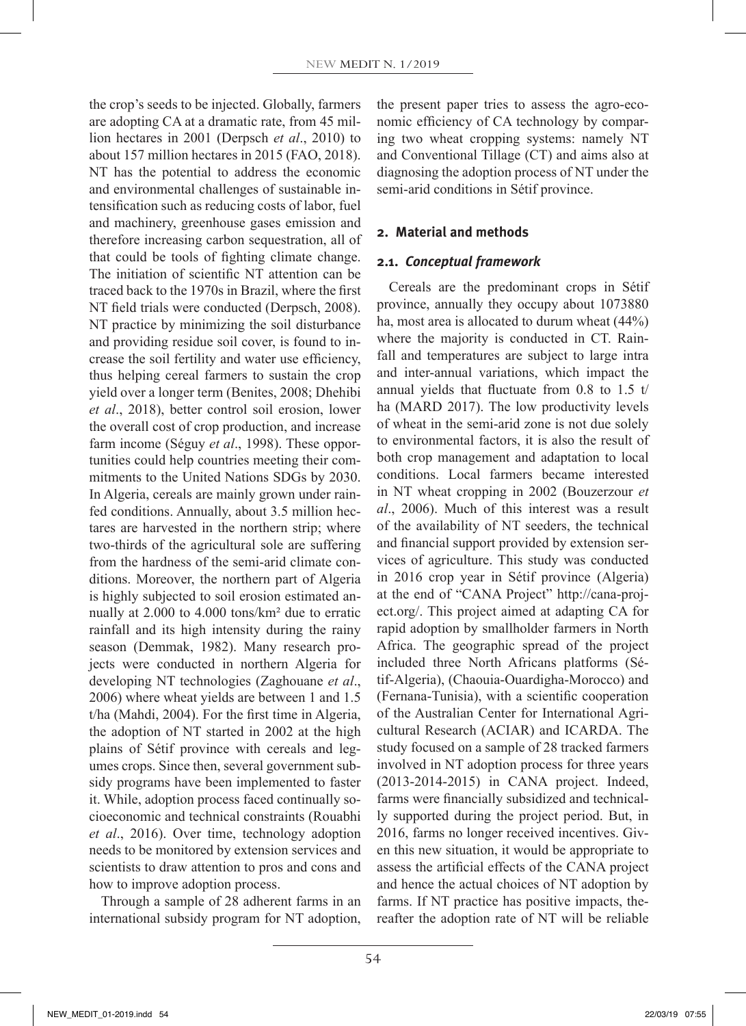the crop's seeds to be injected. Globally, farmers are adopting CA at a dramatic rate, from 45 million hectares in 2001 (Derpsch *et al*., 2010) to about 157 million hectares in 2015 (FAO, 2018). NT has the potential to address the economic and environmental challenges of sustainable intensification such as reducing costs of labor, fuel and machinery, greenhouse gases emission and therefore increasing carbon sequestration, all of that could be tools of fighting climate change. The initiation of scientific NT attention can be traced back to the 1970s in Brazil, where the first NT field trials were conducted (Derpsch, 2008). NT practice by minimizing the soil disturbance and providing residue soil cover, is found to increase the soil fertility and water use efficiency, thus helping cereal farmers to sustain the crop yield over a longer term (Benites, 2008; Dhehibi *et al*., 2018), better control soil erosion, lower the overall cost of crop production, and increase farm income (Séguy *et al*., 1998). These opportunities could help countries meeting their commitments to the United Nations SDGs by 2030. In Algeria, cereals are mainly grown under rainfed conditions. Annually, about 3.5 million hectares are harvested in the northern strip; where two-thirds of the agricultural sole are suffering from the hardness of the semi-arid climate conditions. Moreover, the northern part of Algeria is highly subjected to soil erosion estimated annually at 2.000 to 4.000 tons/km² due to erratic rainfall and its high intensity during the rainy season (Demmak, 1982). Many research projects were conducted in northern Algeria for developing NT technologies (Zaghouane *et al*., 2006) where wheat yields are between 1 and 1.5 t/ha (Mahdi, 2004). For the first time in Algeria, the adoption of NT started in 2002 at the high plains of Sétif province with cereals and legumes crops. Since then, several government subsidy programs have been implemented to faster it. While, adoption process faced continually socioeconomic and technical constraints (Rouabhi *et al*., 2016). Over time, technology adoption needs to be monitored by extension services and scientists to draw attention to pros and cons and how to improve adoption process.

Through a sample of 28 adherent farms in an international subsidy program for NT adoption, the present paper tries to assess the agro-economic efficiency of CA technology by comparing two wheat cropping systems: namely NT and Conventional Tillage (CT) and aims also at diagnosing the adoption process of NT under the semi-arid conditions in Sétif province.

## **2. Material and methods**

#### **2.1.** *Conceptual framework*

Cereals are the predominant crops in Sétif province, annually they occupy about 1073880 ha, most area is allocated to durum wheat (44%) where the majority is conducted in CT. Rainfall and temperatures are subject to large intra and inter-annual variations, which impact the annual yields that fluctuate from 0.8 to 1.5 t/ ha (MARD 2017). The low productivity levels of wheat in the semi-arid zone is not due solely to environmental factors, it is also the result of both crop management and adaptation to local conditions. Local farmers became interested in NT wheat cropping in 2002 (Bouzerzour *et al*., 2006). Much of this interest was a result of the availability of NT seeders, the technical and financial support provided by extension services of agriculture. This study was conducted in 2016 crop year in Sétif province (Algeria) at the end of "CANA Project" http://cana-project.org/. This project aimed at adapting CA for rapid adoption by smallholder farmers in North Africa. The geographic spread of the project included three North Africans platforms (Sétif-Algeria), (Chaouia-Ouardigha-Morocco) and (Fernana-Tunisia), with a scientific cooperation of the Australian Center for International Agricultural Research (ACIAR) and ICARDA. The study focused on a sample of 28 tracked farmers involved in NT adoption process for three years (2013-2014-2015) in CANA project. Indeed, farms were financially subsidized and technically supported during the project period. But, in 2016, farms no longer received incentives. Given this new situation, it would be appropriate to assess the artificial effects of the CANA project and hence the actual choices of NT adoption by farms. If NT practice has positive impacts, thereafter the adoption rate of NT will be reliable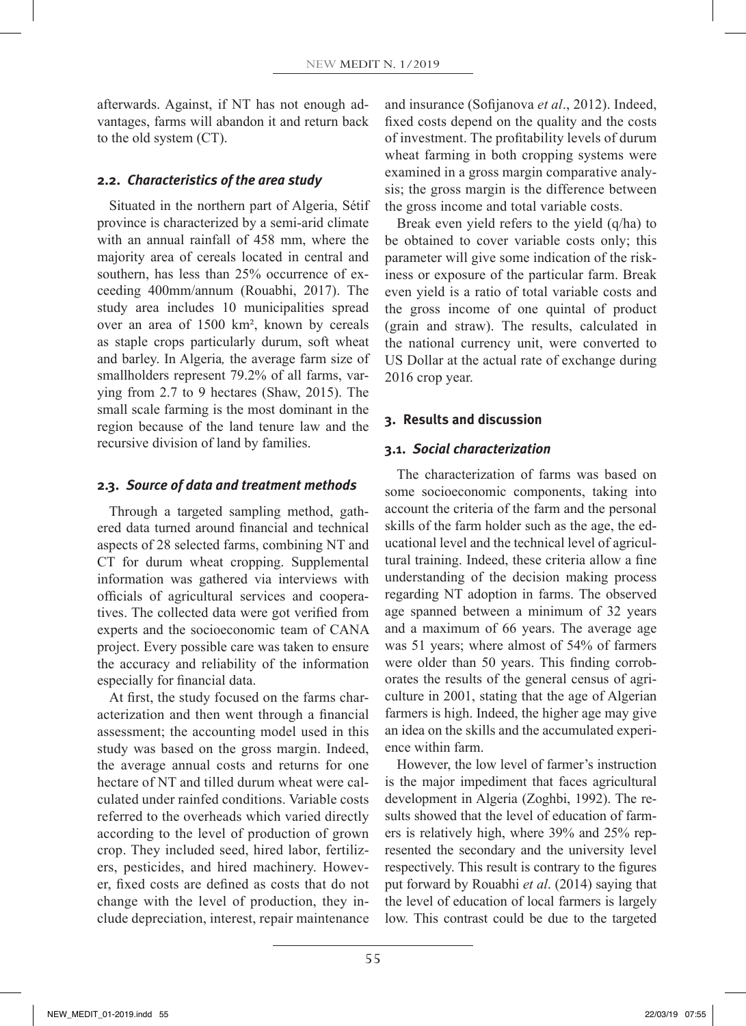afterwards. Against, if NT has not enough advantages, farms will abandon it and return back to the old system (CT).

## **2.2.** *Characteristics of the area study*

Situated in the northern part of Algeria, Sétif province is characterized by a semi-arid climate with an annual rainfall of 458 mm, where the majority area of cereals located in central and southern, has less than 25% occurrence of exceeding 400mm/annum (Rouabhi, 2017). The study area includes 10 municipalities spread over an area of 1500 km², known by cereals as staple crops particularly durum, soft wheat and barley. In Algeria*,* the average farm size of smallholders represent 79.2% of all farms, varying from 2.7 to 9 hectares (Shaw, 2015). The small scale farming is the most dominant in the region because of the land tenure law and the recursive division of land by families.

#### **2.3.** *Source of data and treatment methods*

Through a targeted sampling method, gathered data turned around financial and technical aspects of 28 selected farms, combining NT and CT for durum wheat cropping. Supplemental information was gathered via interviews with officials of agricultural services and cooperatives. The collected data were got verified from experts and the socioeconomic team of CANA project. Every possible care was taken to ensure the accuracy and reliability of the information especially for financial data.

At first, the study focused on the farms characterization and then went through a financial assessment; the accounting model used in this study was based on the gross margin. Indeed, the average annual costs and returns for one hectare of NT and tilled durum wheat were calculated under rainfed conditions. Variable costs referred to the overheads which varied directly according to the level of production of grown crop. They included seed, hired labor, fertilizers, pesticides, and hired machinery. However, fixed costs are defined as costs that do not change with the level of production, they include depreciation, interest, repair maintenance and insurance (Sofijanova *et al*., 2012). Indeed, fixed costs depend on the quality and the costs of investment. The profitability levels of durum wheat farming in both cropping systems were examined in a gross margin comparative analysis; the gross margin is the difference between the gross income and total variable costs.

Break even yield refers to the yield (q/ha) to be obtained to cover variable costs only; this parameter will give some indication of the riskiness or exposure of the particular farm. Break even yield is a ratio of total variable costs and the gross income of one quintal of product (grain and straw). The results, calculated in the national currency unit, were converted to US Dollar at the actual rate of exchange during 2016 crop year.

## **3. Results and discussion**

## **3.1.** *Social characterization*

The characterization of farms was based on some socioeconomic components, taking into account the criteria of the farm and the personal skills of the farm holder such as the age, the educational level and the technical level of agricultural training. Indeed, these criteria allow a fine understanding of the decision making process regarding NT adoption in farms. The observed age spanned between a minimum of 32 years and a maximum of 66 years. The average age was 51 years; where almost of 54% of farmers were older than 50 years. This finding corroborates the results of the general census of agriculture in 2001, stating that the age of Algerian farmers is high. Indeed, the higher age may give an idea on the skills and the accumulated experience within farm.

However, the low level of farmer's instruction is the major impediment that faces agricultural development in Algeria (Zoghbi, 1992). The results showed that the level of education of farmers is relatively high, where 39% and 25% represented the secondary and the university level respectively. This result is contrary to the figures put forward by Rouabhi *et al*. (2014) saying that the level of education of local farmers is largely low. This contrast could be due to the targeted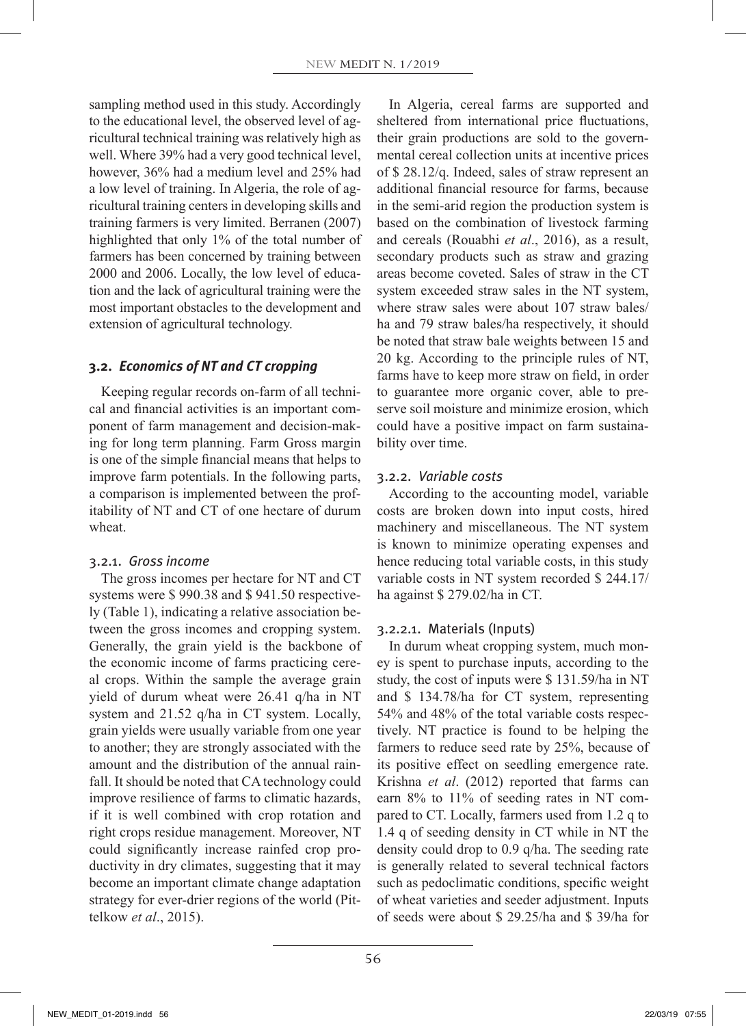sampling method used in this study. Accordingly to the educational level, the observed level of agricultural technical training was relatively high as well. Where 39% had a very good technical level, however, 36% had a medium level and 25% had a low level of training. In Algeria, the role of agricultural training centers in developing skills and training farmers is very limited. Berranen (2007) highlighted that only 1% of the total number of farmers has been concerned by training between 2000 and 2006. Locally, the low level of education and the lack of agricultural training were the most important obstacles to the development and extension of agricultural technology.

## **3.2.** *Economics of NT and CT cropping*

Keeping regular records on-farm of all technical and financial activities is an important component of farm management and decision-making for long term planning. Farm Gross margin is one of the simple financial means that helps to improve farm potentials. In the following parts, a comparison is implemented between the profitability of NT and CT of one hectare of durum wheat.

## 3.2.1. *Gross income*

The gross incomes per hectare for NT and CT systems were \$ 990.38 and \$ 941.50 respectively (Table 1), indicating a relative association between the gross incomes and cropping system. Generally, the grain yield is the backbone of the economic income of farms practicing cereal crops. Within the sample the average grain yield of durum wheat were 26.41 q/ha in NT system and 21.52 q/ha in CT system. Locally, grain yields were usually variable from one year to another; they are strongly associated with the amount and the distribution of the annual rainfall. It should be noted that CA technology could improve resilience of farms to climatic hazards, if it is well combined with crop rotation and right crops residue management. Moreover, NT could significantly increase rainfed crop productivity in dry climates, suggesting that it may become an important climate change adaptation strategy for ever-drier regions of the world (Pittelkow *et al*., 2015).

In Algeria, cereal farms are supported and sheltered from international price fluctuations, their grain productions are sold to the governmental cereal collection units at incentive prices of \$ 28.12/q. Indeed, sales of straw represent an additional financial resource for farms, because in the semi-arid region the production system is based on the combination of livestock farming and cereals (Rouabhi *et al*., 2016), as a result, secondary products such as straw and grazing areas become coveted. Sales of straw in the CT system exceeded straw sales in the NT system, where straw sales were about 107 straw bales/ ha and 79 straw bales/ha respectively, it should be noted that straw bale weights between 15 and 20 kg. According to the principle rules of NT, farms have to keep more straw on field, in order to guarantee more organic cover, able to preserve soil moisture and minimize erosion, which could have a positive impact on farm sustainability over time.

#### 3.2.2. *Variable costs*

According to the accounting model, variable costs are broken down into input costs, hired machinery and miscellaneous. The NT system is known to minimize operating expenses and hence reducing total variable costs, in this study variable costs in NT system recorded \$ 244.17/ ha against \$ 279.02/ha in CT.

#### 3.2.2.1. Materials (Inputs)

In durum wheat cropping system, much money is spent to purchase inputs, according to the study, the cost of inputs were \$ 131.59/ha in NT and \$ 134.78/ha for CT system, representing 54% and 48% of the total variable costs respectively. NT practice is found to be helping the farmers to reduce seed rate by 25%, because of its positive effect on seedling emergence rate. Krishna *et al*. (2012) reported that farms can earn 8% to 11% of seeding rates in NT compared to CT. Locally, farmers used from 1.2 q to 1.4 q of seeding density in CT while in NT the density could drop to 0.9 q/ha. The seeding rate is generally related to several technical factors such as pedoclimatic conditions, specific weight of wheat varieties and seeder adjustment. Inputs of seeds were about \$ 29.25/ha and \$ 39/ha for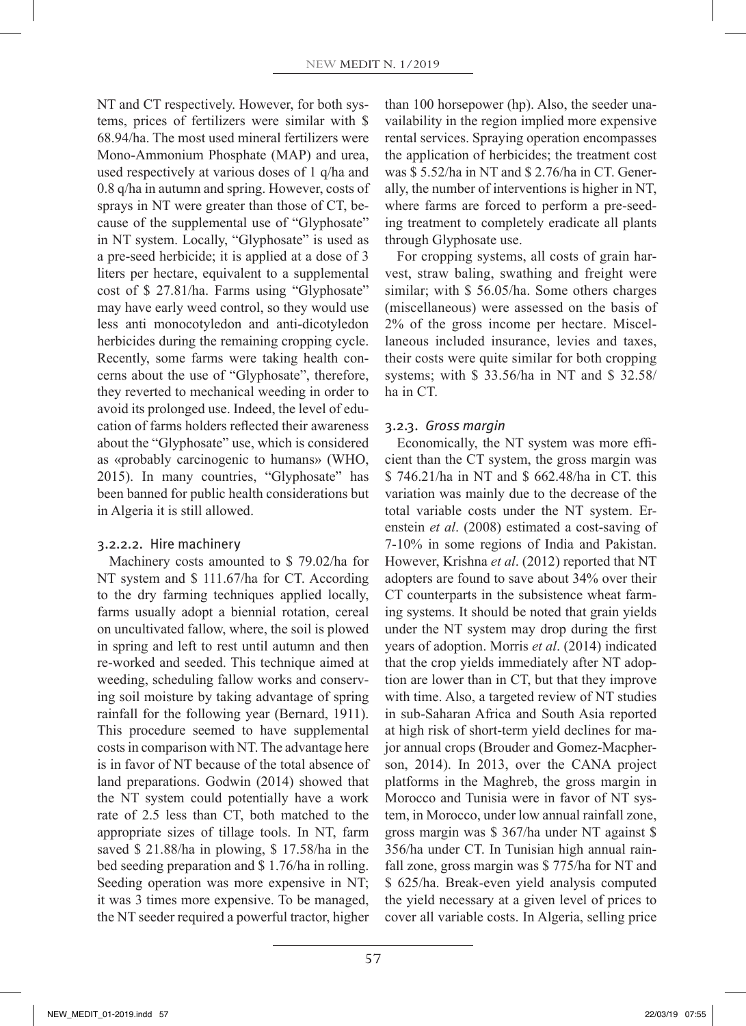NT and CT respectively. However, for both systems, prices of fertilizers were similar with \$ 68.94/ha. The most used mineral fertilizers were Mono-Ammonium Phosphate (MAP) and urea, used respectively at various doses of 1 q/ha and 0.8 q/ha in autumn and spring. However, costs of sprays in NT were greater than those of CT, because of the supplemental use of "Glyphosate" in NT system. Locally, "Glyphosate" is used as a pre-seed herbicide; it is applied at a dose of 3 liters per hectare, equivalent to a supplemental cost of \$ 27.81/ha. Farms using "Glyphosate" may have early weed control, so they would use less anti monocotyledon and anti-dicotyledon herbicides during the remaining cropping cycle. Recently, some farms were taking health concerns about the use of "Glyphosate", therefore, they reverted to mechanical weeding in order to avoid its prolonged use. Indeed, the level of education of farms holders reflected their awareness about the "Glyphosate" use, which is considered as «probably carcinogenic to humans» (WHO, 2015). In many countries, "Glyphosate" has been banned for public health considerations but in Algeria it is still allowed.

#### 3.2.2.2. Hire machinery

Machinery costs amounted to \$ 79.02/ha for NT system and \$ 111.67/ha for CT. According to the dry farming techniques applied locally, farms usually adopt a biennial rotation, cereal on uncultivated fallow, where, the soil is plowed in spring and left to rest until autumn and then re-worked and seeded. This technique aimed at weeding, scheduling fallow works and conserving soil moisture by taking advantage of spring rainfall for the following year (Bernard, 1911). This procedure seemed to have supplemental costs in comparison with NT. The advantage here is in favor of NT because of the total absence of land preparations. Godwin (2014) showed that the NT system could potentially have a work rate of 2.5 less than CT, both matched to the appropriate sizes of tillage tools. In NT, farm saved \$ 21.88/ha in plowing, \$ 17.58/ha in the bed seeding preparation and \$ 1.76/ha in rolling. Seeding operation was more expensive in NT; it was 3 times more expensive. To be managed, the NT seeder required a powerful tractor, higher than 100 horsepower (hp). Also, the seeder unavailability in the region implied more expensive rental services. Spraying operation encompasses the application of herbicides; the treatment cost was \$ 5.52/ha in NT and \$ 2.76/ha in CT. Generally, the number of interventions is higher in NT, where farms are forced to perform a pre-seeding treatment to completely eradicate all plants through Glyphosate use.

For cropping systems, all costs of grain harvest, straw baling, swathing and freight were similar; with \$ 56.05/ha. Some others charges (miscellaneous) were assessed on the basis of 2% of the gross income per hectare. Miscellaneous included insurance, levies and taxes, their costs were quite similar for both cropping systems; with \$ 33.56/ha in NT and \$ 32.58/ ha in CT.

## 3.2.3. *Gross margin*

Economically, the NT system was more efficient than the CT system, the gross margin was \$ 746.21/ha in NT and \$ 662.48/ha in CT. this variation was mainly due to the decrease of the total variable costs under the NT system. Erenstein *et al*. (2008) estimated a cost-saving of 7-10% in some regions of India and Pakistan. However, Krishna *et al*. (2012) reported that NT adopters are found to save about 34% over their CT counterparts in the subsistence wheat farming systems. It should be noted that grain yields under the NT system may drop during the first years of adoption. Morris *et al*. (2014) indicated that the crop yields immediately after NT adoption are lower than in CT, but that they improve with time. Also, a targeted review of NT studies in sub-Saharan Africa and South Asia reported at high risk of short-term yield declines for major annual crops (Brouder and Gomez-Macpherson, 2014). In 2013, over the CANA project platforms in the Maghreb, the gross margin in Morocco and Tunisia were in favor of NT system, in Morocco, under low annual rainfall zone, gross margin was \$ 367/ha under NT against \$ 356/ha under CT. In Tunisian high annual rainfall zone, gross margin was \$ 775/ha for NT and \$ 625/ha. Break-even yield analysis computed the yield necessary at a given level of prices to cover all variable costs. In Algeria, selling price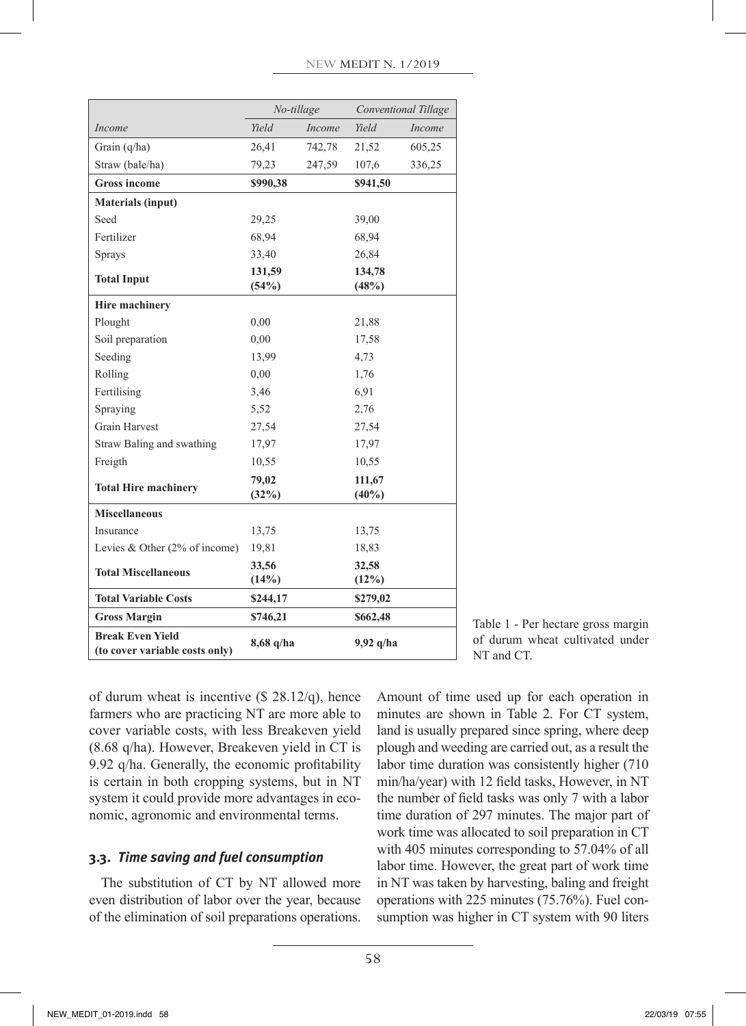|                                                           | No-tillage                 |        | Conventional Tillage |        |
|-----------------------------------------------------------|----------------------------|--------|----------------------|--------|
| Income                                                    | Yield                      | Income | <b>Yield</b>         | Income |
| Grain $(q/ha)$                                            | 26,41                      | 742,78 | 21,52                | 605,25 |
| Straw (bale/ha)                                           | 79,23                      | 247,59 | 107,6                | 336,25 |
| <b>Gross income</b>                                       | \$990,38                   |        | \$941,50             |        |
| <b>Materials (input)</b>                                  |                            |        |                      |        |
| Seed                                                      | 29,25                      |        | 39,00                |        |
| Fertilizer                                                | 68,94                      |        | 68,94                |        |
| <b>Sprays</b>                                             | 33,40                      |        | 26,84                |        |
| <b>Total Input</b>                                        | 131,59<br>(54%)            |        | 134,78<br>(48%)      |        |
| <b>Hire machinery</b>                                     |                            |        |                      |        |
| Plought                                                   | 0,00                       |        | 21,88                |        |
| Soil preparation                                          | 0,00                       |        | 17,58                |        |
| Seeding                                                   | 13,99                      |        | 4,73                 |        |
| Rolling                                                   | 0,00                       |        | 1,76                 |        |
| Fertilising                                               | 3,46                       |        | 6,91                 |        |
| Spraying                                                  | 5,52                       |        | 2,76                 |        |
| <b>Grain Harvest</b>                                      | 27,54                      |        | 27,54                |        |
| Straw Baling and swathing                                 | 17,97                      |        | 17,97                |        |
| Freigth                                                   | 10,55                      |        | 10,55                |        |
| <b>Total Hire machinery</b>                               | 79,02<br>(32%)             |        | 111,67<br>$(40\%)$   |        |
| <b>Miscellaneous</b>                                      |                            |        |                      |        |
| Insurance                                                 | 13,75                      |        | 13,75                |        |
| Levies & Other $(2\% \text{ of income})$                  | 19,81                      |        | 18,83                |        |
| <b>Total Miscellaneous</b>                                | 33,56                      |        | 32,58                |        |
|                                                           | (14%)                      |        | (12%)                |        |
| <b>Total Variable Costs</b>                               | \$244,17                   |        | \$279,02             |        |
| <b>Gross Margin</b>                                       | \$746,21                   |        | \$662,48             |        |
| <b>Break Even Yield</b><br>(to cover variable costs only) | $8,68$ q/ha<br>$9,92$ q/ha |        |                      |        |

Table 1 - Per hectare gross margin of durum wheat cultivated under NT and CT.

of durum wheat is incentive (\$ 28.12/q), hence farmers who are practicing NT are more able to cover variable costs, with less Breakeven yield (8.68 q/ha). However, Breakeven yield in CT is 9.92 q/ha. Generally, the economic profitability is certain in both cropping systems, but in NT system it could provide more advantages in economic, agronomic and environmental terms.

# **3.3.** *Time saving and fuel consumption*

The substitution of CT by NT allowed more even distribution of labor over the year, because of the elimination of soil preparations operations.

Amount of time used up for each operation in minutes are shown in Table 2. For CT system, land is usually prepared since spring, where deep plough and weeding are carried out, as a result the labor time duration was consistently higher (710 min/ha/year) with 12 field tasks, However, in NT the number of field tasks was only 7 with a labor time duration of 297 minutes. The major part of work time was allocated to soil preparation in CT with 405 minutes corresponding to 57.04% of all labor time. However, the great part of work time in NT was taken by harvesting, baling and freight operations with 225 minutes (75.76%). Fuel consumption was higher in CT system with 90 liters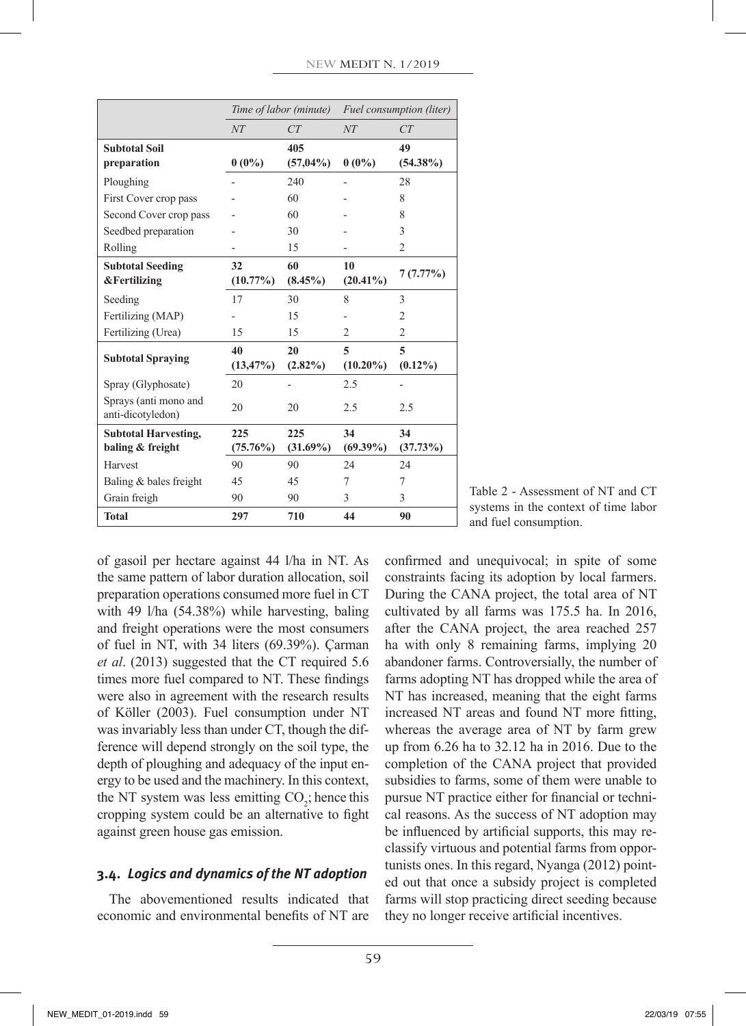|                                                    | Time of labor (minute) |                  | Fuel consumption (liter) |                 |
|----------------------------------------------------|------------------------|------------------|--------------------------|-----------------|
|                                                    | NT                     | CT               | NT                       | CT              |
| <b>Subtotal Soil</b>                               |                        | 405              |                          | 49              |
| preparation                                        | $0(0\%)$               | $(57,04\%)$      | $0(0\%)$                 | $(54.38\%)$     |
| Ploughing                                          |                        | 240              |                          | 28              |
| First Cover crop pass                              |                        | 60               |                          | 8               |
| Second Cover crop pass                             |                        | 60               |                          | 8               |
| Seedbed preparation                                |                        | 30               |                          | 3               |
| Rolling                                            |                        | 15               |                          | $\overline{2}$  |
| <b>Subtotal Seeding</b><br><b>&amp;Fertilizing</b> | 32<br>$(10.77\%)$      | 60<br>$(8.45\%)$ | 10<br>$(20.41\%)$        | 7(7.77%)        |
| Seeding                                            | 17                     | 30               | 8                        | 3               |
| Fertilizing (MAP)                                  |                        | 15               |                          | $\overline{2}$  |
| Fertilizing (Urea)                                 | 15                     | 15               | 2                        | $\overline{c}$  |
|                                                    |                        |                  |                          |                 |
| <b>Subtotal Spraying</b>                           | 40<br>$(13, 47\%)$     | 20<br>$(2.82\%)$ | 5<br>$(10.20\%)$         | 5<br>$(0.12\%)$ |
| Spray (Glyphosate)                                 | 20                     |                  | 2.5                      |                 |
| Sprays (anti mono and<br>anti-dicotyledon)         | 20                     | 20               | 2.5                      | 2.5             |
| <b>Subtotal Harvesting,</b>                        | 225                    | 225              | 34                       | 34              |
| baling & freight                                   | $(75.76\%)$            | $(31.69\%)$      | $(69.39\%)$              | (37.73%)        |
| Harvest                                            | 90                     | 90               | 24                       | 24              |
| Baling & bales freight                             | 45                     | 45               | 7                        | 7               |
| Grain freigh                                       | 90                     | 90               | 3                        | 3               |
| <b>Total</b>                                       | 297                    | 710              | 44                       | 90              |

Table 2 - Assessment of NT and CT systems in the context of time labor and fuel consumption.

of gasoil per hectare against 44 l/ha in NT. As the same pattern of labor duration allocation, soil preparation operations consumed more fuel in CT with 49 l/ha (54.38%) while harvesting, baling and freight operations were the most consumers of fuel in NT, with 34 liters (69.39%). Çarman *et al*. (2013) suggested that the CT required 5.6 times more fuel compared to NT. These findings were also in agreement with the research results of Köller (2003). Fuel consumption under NT was invariably less than under CT, though the difference will depend strongly on the soil type, the depth of ploughing and adequacy of the input energy to be used and the machinery. In this context, the NT system was less emitting  $CO_2$ ; hence this cropping system could be an alternative to fight against green house gas emission.

## **3.4.** *Logics and dynamics of the NT adoption*

The abovementioned results indicated that economic and environmental benefits of NT are confirmed and unequivocal; in spite of some constraints facing its adoption by local farmers. During the CANA project, the total area of NT cultivated by all farms was 175.5 ha. In 2016, after the CANA project, the area reached 257 ha with only 8 remaining farms, implying 20 abandoner farms. Controversially, the number of farms adopting NT has dropped while the area of NT has increased, meaning that the eight farms increased NT areas and found NT more fitting, whereas the average area of NT by farm grew up from 6.26 ha to 32.12 ha in 2016. Due to the completion of the CANA project that provided subsidies to farms, some of them were unable to pursue NT practice either for financial or technical reasons. As the success of NT adoption may be influenced by artificial supports, this may reclassify virtuous and potential farms from opportunists ones. In this regard, Nyanga (2012) pointed out that once a subsidy project is completed farms will stop practicing direct seeding because they no longer receive artificial incentives.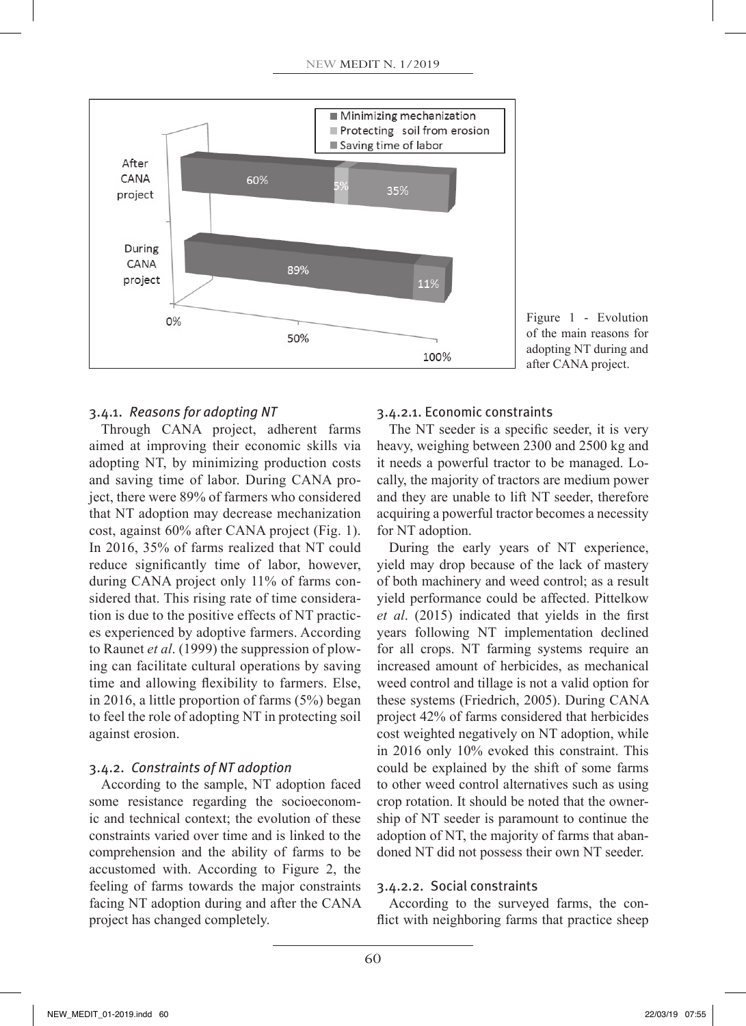

Figure 1 - Evolution of the main reasons for adopting NT during and after CANA project.

## 3.4.1. *Reasons for adopting NT*

Through CANA project, adherent farms aimed at improving their economic skills via adopting NT, by minimizing production costs and saving time of labor. During CANA project, there were 89% of farmers who considered that NT adoption may decrease mechanization cost, against 60% after CANA project (Fig. 1). In 2016, 35% of farms realized that NT could reduce significantly time of labor, however, during CANA project only 11% of farms considered that. This rising rate of time consideration is due to the positive effects of NT practices experienced by adoptive farmers. According to Raunet *et al*. (1999) the suppression of plowing can facilitate cultural operations by saving time and allowing flexibility to farmers. Else, in 2016, a little proportion of farms (5%) began to feel the role of adopting NT in protecting soil against erosion.

## 3.4.2. *Constraints of NT adoption*

According to the sample, NT adoption faced some resistance regarding the socioeconomic and technical context; the evolution of these constraints varied over time and is linked to the comprehension and the ability of farms to be accustomed with. According to Figure 2, the feeling of farms towards the major constraints facing NT adoption during and after the CANA project has changed completely.

## 3.4.2.1. Economic constraints

The NT seeder is a specific seeder, it is very heavy, weighing between 2300 and 2500 kg and it needs a powerful tractor to be managed. Locally, the majority of tractors are medium power and they are unable to lift NT seeder, therefore acquiring a powerful tractor becomes a necessity for NT adoption.

During the early years of NT experience, yield may drop because of the lack of mastery of both machinery and weed control; as a result yield performance could be affected. Pittelkow *et al*. (2015) indicated that yields in the first years following NT implementation declined for all crops. NT farming systems require an increased amount of herbicides, as mechanical weed control and tillage is not a valid option for these systems (Friedrich, 2005). During CANA project 42% of farms considered that herbicides cost weighted negatively on NT adoption, while in 2016 only 10% evoked this constraint. This could be explained by the shift of some farms to other weed control alternatives such as using crop rotation. It should be noted that the ownership of NT seeder is paramount to continue the adoption of NT, the majority of farms that abandoned NT did not possess their own NT seeder.

## 3.4.2.2. Social constraints

According to the surveyed farms, the conflict with neighboring farms that practice sheep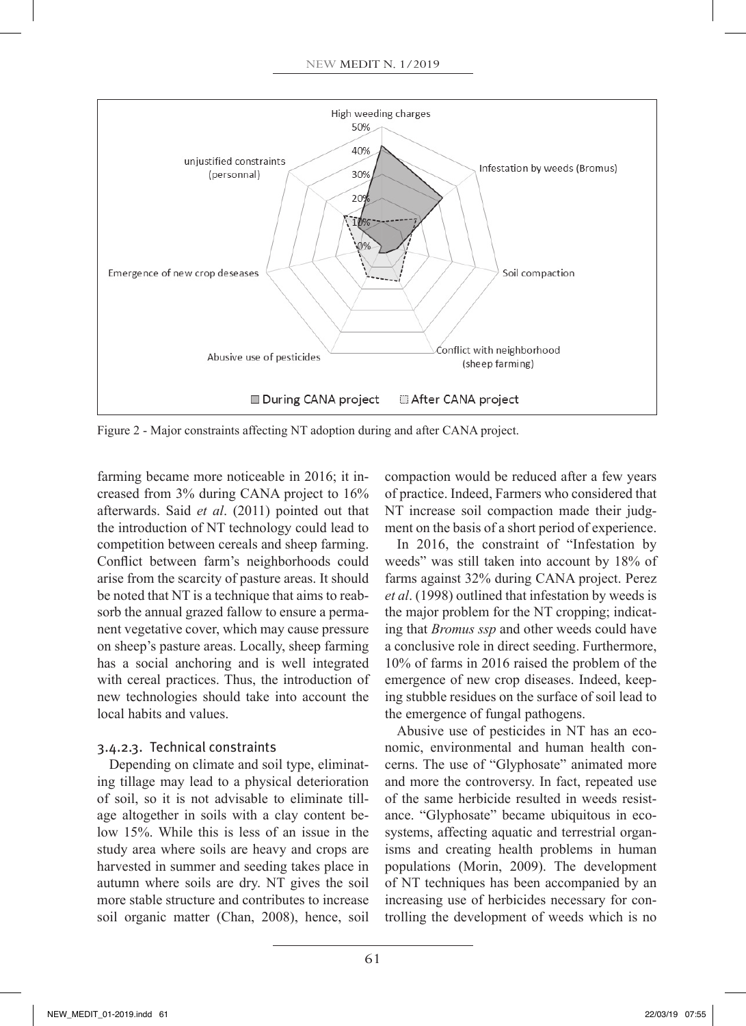

Figure 2 - Major constraints affecting NT adoption during and after CANA project.

farming became more noticeable in 2016; it increased from 3% during CANA project to 16% afterwards. Said *et al*. (2011) pointed out that the introduction of NT technology could lead to competition between cereals and sheep farming. Conflict between farm's neighborhoods could arise from the scarcity of pasture areas. It should be noted that NT is a technique that aims to reabsorb the annual grazed fallow to ensure a permanent vegetative cover, which may cause pressure on sheep's pasture areas. Locally, sheep farming has a social anchoring and is well integrated with cereal practices. Thus, the introduction of new technologies should take into account the local habits and values.

## 3.4.2.3. Technical constraints

Depending on climate and soil type, eliminating tillage may lead to a physical deterioration of soil, so it is not advisable to eliminate tillage altogether in soils with a clay content below 15%. While this is less of an issue in the study area where soils are heavy and crops are harvested in summer and seeding takes place in autumn where soils are dry. NT gives the soil more stable structure and contributes to increase soil organic matter (Chan, 2008), hence, soil compaction would be reduced after a few years of practice. Indeed, Farmers who considered that NT increase soil compaction made their judgment on the basis of a short period of experience.

In 2016, the constraint of "Infestation by weeds" was still taken into account by 18% of farms against 32% during CANA project. Perez *et al*. (1998) outlined that infestation by weeds is the major problem for the NT cropping; indicating that *Bromus ssp* and other weeds could have a conclusive role in direct seeding. Furthermore, 10% of farms in 2016 raised the problem of the emergence of new crop diseases. Indeed, keeping stubble residues on the surface of soil lead to the emergence of fungal pathogens.

Abusive use of pesticides in NT has an economic, environmental and human health concerns. The use of "Glyphosate" animated more and more the controversy. In fact, repeated use of the same herbicide resulted in weeds resistance. "Glyphosate" became ubiquitous in ecosystems, affecting aquatic and terrestrial organisms and creating health problems in human populations (Morin, 2009). The development of NT techniques has been accompanied by an increasing use of herbicides necessary for controlling the development of weeds which is no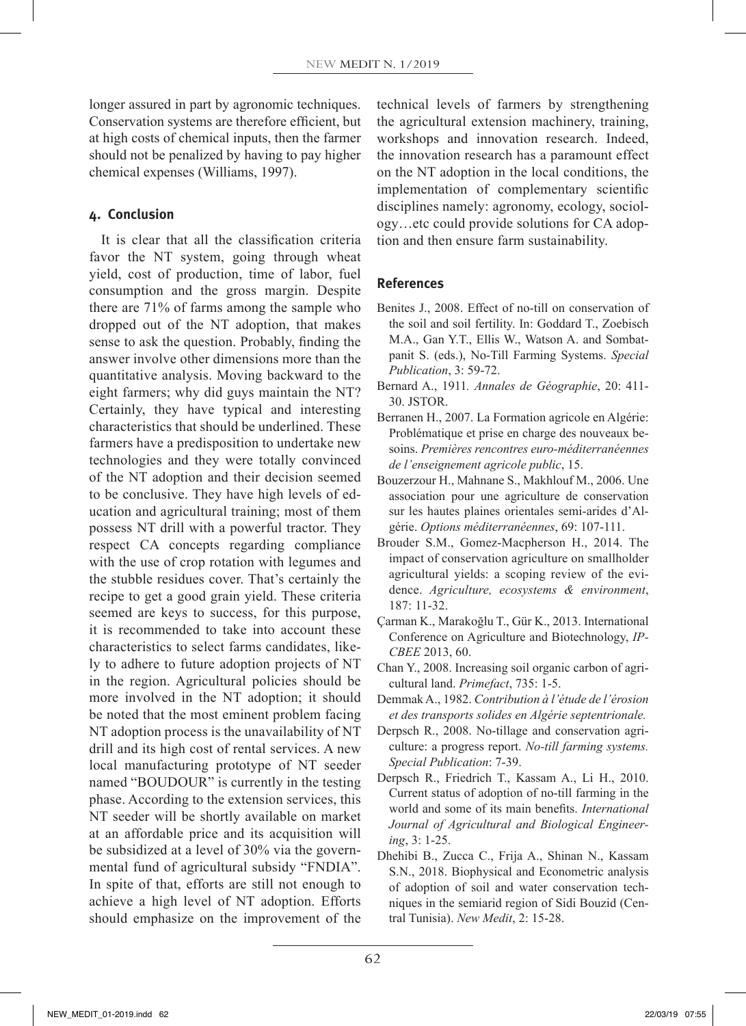longer assured in part by agronomic techniques. Conservation systems are therefore efficient, but at high costs of chemical inputs, then the farmer should not be penalized by having to pay higher chemical expenses (Williams, 1997).

## **4. Conclusion**

It is clear that all the classification criteria favor the NT system, going through wheat yield, cost of production, time of labor, fuel consumption and the gross margin. Despite there are 71% of farms among the sample who dropped out of the NT adoption, that makes sense to ask the question. Probably, finding the answer involve other dimensions more than the quantitative analysis. Moving backward to the eight farmers; why did guys maintain the NT? Certainly, they have typical and interesting characteristics that should be underlined. These farmers have a predisposition to undertake new technologies and they were totally convinced of the NT adoption and their decision seemed to be conclusive. They have high levels of education and agricultural training; most of them possess NT drill with a powerful tractor. They respect CA concepts regarding compliance with the use of crop rotation with legumes and the stubble residues cover. That's certainly the recipe to get a good grain yield. These criteria seemed are keys to success, for this purpose, it is recommended to take into account these characteristics to select farms candidates, likely to adhere to future adoption projects of NT in the region. Agricultural policies should be more involved in the NT adoption; it should be noted that the most eminent problem facing NT adoption process is the unavailability of NT drill and its high cost of rental services. A new local manufacturing prototype of NT seeder named "BOUDOUR" is currently in the testing phase. According to the extension services, this NT seeder will be shortly available on market at an affordable price and its acquisition will be subsidized at a level of 30% via the governmental fund of agricultural subsidy "FNDIA". In spite of that, efforts are still not enough to achieve a high level of NT adoption. Efforts should emphasize on the improvement of the technical levels of farmers by strengthening the agricultural extension machinery, training, workshops and innovation research. Indeed, the innovation research has a paramount effect on the NT adoption in the local conditions, the implementation of complementary scientific disciplines namely: agronomy, ecology, sociology…etc could provide solutions for CA adoption and then ensure farm sustainability.

#### **References**

- Benites J., 2008. Effect of no-till on conservation of the soil and soil fertility. In: Goddard T., Zoebisch M.A., Gan Y.T., Ellis W., Watson A. and Sombatpanit S. (eds.), No-Till Farming Systems. *Special Publication*, 3: 59-72.
- Bernard A., 1911*. Annales de Géographie*, 20: 411- 30. JSTOR.
- Berranen H., 2007. La Formation agricole en Algérie: Problématique et prise en charge des nouveaux besoins. *Premières rencontres euro-méditerranéennes de l'enseignement agricole public*, 15.
- Bouzerzour H., Mahnane S., Makhlouf M., 2006. Une association pour une agriculture de conservation sur les hautes plaines orientales semi-arides d'Algérie. *Options méditerranéennes*, 69: 107-111.
- Brouder S.M., Gomez-Macpherson H., 2014. The impact of conservation agriculture on smallholder agricultural yields: a scoping review of the evidence. *Agriculture, ecosystems & environment*, 187: 11-32.
- Çarman K., Marakoğlu T., Gür K., 2013. International Conference on Agriculture and Biotechnology, *IP-CBEE* 2013, 60.
- Chan Y., 2008. Increasing soil organic carbon of agricultural land. *Primefact*, 735: 1-5.
- Demmak A., 1982. *Contribution à l'étude de l'érosion et des transports solides en Algérie septentrionale.*
- Derpsch R., 2008. No-tillage and conservation agriculture: a progress report. *No-till farming systems. Special Publication*: 7-39.
- Derpsch R., Friedrich T., Kassam A., Li H., 2010. Current status of adoption of no-till farming in the world and some of its main benefits. *International Journal of Agricultural and Biological Engineering*, 3: 1-25.
- Dhehibi B., Zucca C., Frija A., Shinan N., Kassam S.N., 2018. Biophysical and Econometric analysis of adoption of soil and water conservation techniques in the semiarid region of Sidi Bouzid (Central Tunisia). *New Medit*, 2: 15-28.